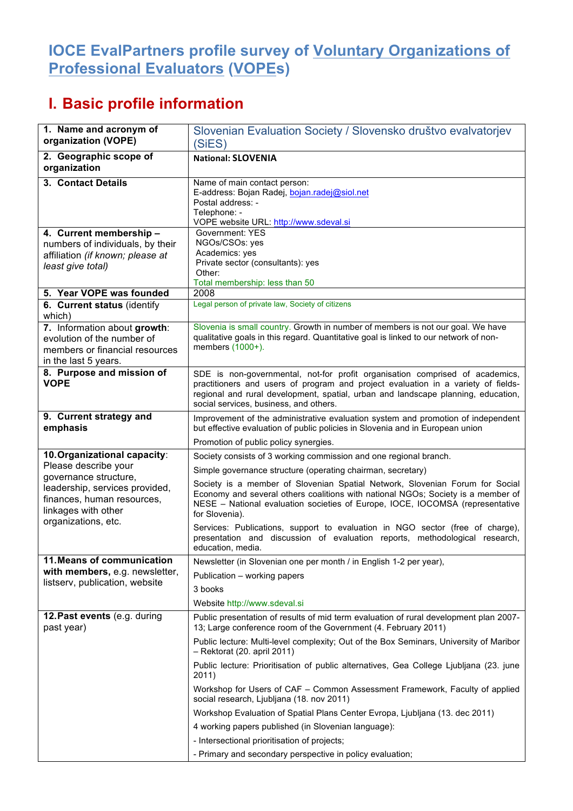## **IOCE EvalPartners profile survey of Voluntary Organizations of Professional Evaluators (VOPEs)**

## **I. Basic profile information**

| 1. Name and acronym of<br>organization (VOPE)                                                                        | Slovenian Evaluation Society / Slovensko društvo evalvatorjev<br>(SiES)                                                                                                                                                                                                                          |
|----------------------------------------------------------------------------------------------------------------------|--------------------------------------------------------------------------------------------------------------------------------------------------------------------------------------------------------------------------------------------------------------------------------------------------|
| 2. Geographic scope of<br>organization                                                                               | <b>National: SLOVENIA</b>                                                                                                                                                                                                                                                                        |
| 3. Contact Details                                                                                                   | Name of main contact person:<br>E-address: Bojan Radej, bojan.radej@siol.net<br>Postal address: -<br>Telephone: -<br>VOPE website URL: http://www.sdeval.si                                                                                                                                      |
| 4. Current membership -<br>numbers of individuals, by their<br>affiliation (if known; please at<br>least give total) | Government: YES<br>NGOs/CSOs: yes<br>Academics: yes<br>Private sector (consultants): yes<br>Other:<br>Total membership: less than 50                                                                                                                                                             |
| 5. Year VOPE was founded                                                                                             | 2008                                                                                                                                                                                                                                                                                             |
| 6. Current status (identify<br>which)                                                                                | Legal person of private law, Society of citizens                                                                                                                                                                                                                                                 |
| 7. Information about growth:<br>evolution of the number of<br>members or financial resources<br>in the last 5 years. | Slovenia is small country. Growth in number of members is not our goal. We have<br>qualitative goals in this regard. Quantitative goal is linked to our network of non-<br>members (1000+).                                                                                                      |
| 8. Purpose and mission of<br><b>VOPE</b>                                                                             | SDE is non-governmental, not-for profit organisation comprised of academics,<br>practitioners and users of program and project evaluation in a variety of fields-<br>regional and rural development, spatial, urban and landscape planning, education,<br>social services, business, and others. |
| 9. Current strategy and<br>emphasis                                                                                  | Improvement of the administrative evaluation system and promotion of independent<br>but effective evaluation of public policies in Slovenia and in European union                                                                                                                                |
|                                                                                                                      | Promotion of public policy synergies.                                                                                                                                                                                                                                                            |
| 10. Organizational capacity:                                                                                         | Society consists of 3 working commission and one regional branch.                                                                                                                                                                                                                                |
| Please describe your                                                                                                 | Simple governance structure (operating chairman, secretary)                                                                                                                                                                                                                                      |
| governance structure,<br>leadership, services provided,<br>finances, human resources,<br>linkages with other         | Society is a member of Slovenian Spatial Network, Slovenian Forum for Social<br>Economy and several others coalitions with national NGOs; Society is a member of<br>NESE - National evaluation societies of Europe, IOCE, IOCOMSA (representative<br>for Slovenia).                              |
| organizations, etc.                                                                                                  | Services: Publications, support to evaluation in NGO sector (free of charge),<br>presentation and discussion of evaluation reports, methodological research,<br>education, media.                                                                                                                |
| 11. Means of communication                                                                                           | Newsletter (in Slovenian one per month / in English 1-2 per year),                                                                                                                                                                                                                               |
| with members, e.g. newsletter,                                                                                       | Publication - working papers                                                                                                                                                                                                                                                                     |
| listserv, publication, website                                                                                       | 3 books                                                                                                                                                                                                                                                                                          |
|                                                                                                                      | Website http://www.sdeval.si                                                                                                                                                                                                                                                                     |
| 12. Past events (e.g. during<br>past year)                                                                           | Public presentation of results of mid term evaluation of rural development plan 2007-<br>13; Large conference room of the Government (4. February 2011)                                                                                                                                          |
|                                                                                                                      | Public lecture: Multi-level complexity; Out of the Box Seminars, University of Maribor<br>- Rektorat (20. april 2011)                                                                                                                                                                            |
|                                                                                                                      | Public lecture: Prioritisation of public alternatives, Gea College Ljubljana (23. june<br>2011)                                                                                                                                                                                                  |
|                                                                                                                      | Workshop for Users of CAF - Common Assessment Framework, Faculty of applied<br>social research, Ljubljana (18. nov 2011)                                                                                                                                                                         |
|                                                                                                                      | Workshop Evaluation of Spatial Plans Center Evropa, Ljubljana (13. dec 2011)                                                                                                                                                                                                                     |
|                                                                                                                      | 4 working papers published (in Slovenian language):                                                                                                                                                                                                                                              |
|                                                                                                                      | - Intersectional prioritisation of projects;                                                                                                                                                                                                                                                     |
|                                                                                                                      | - Primary and secondary perspective in policy evaluation;                                                                                                                                                                                                                                        |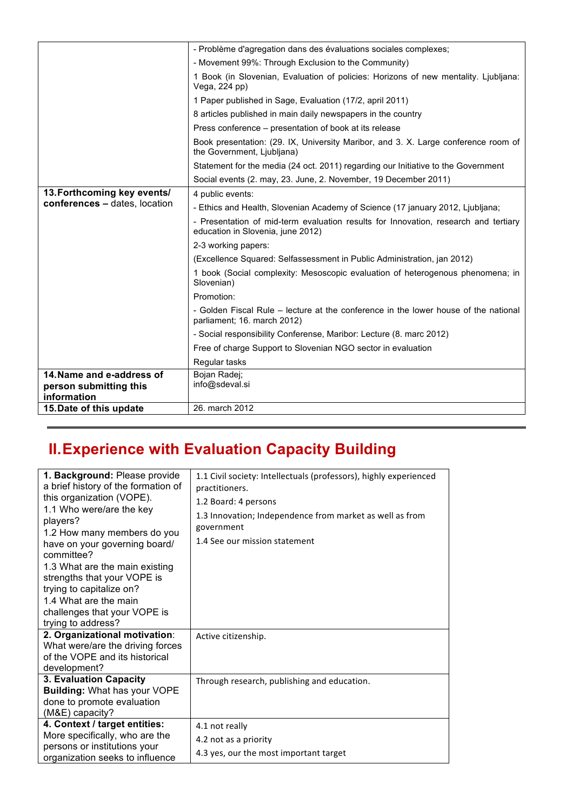|                                                                    | - Problème d'agregation dans des évaluations sociales complexes;                                                         |
|--------------------------------------------------------------------|--------------------------------------------------------------------------------------------------------------------------|
|                                                                    | - Movement 99%: Through Exclusion to the Community)                                                                      |
|                                                                    | 1 Book (in Slovenian, Evaluation of policies: Horizons of new mentality. Ljubljana:<br>Vega, 224 pp)                     |
|                                                                    | 1 Paper published in Sage, Evaluation (17/2, april 2011)                                                                 |
|                                                                    | 8 articles published in main daily newspapers in the country                                                             |
|                                                                    | Press conference – presentation of book at its release                                                                   |
|                                                                    | Book presentation: (29. IX, University Maribor, and 3. X. Large conference room of<br>the Government, Ljubljana)         |
|                                                                    | Statement for the media (24 oct. 2011) regarding our Initiative to the Government                                        |
|                                                                    | Social events (2. may, 23. June, 2. November, 19 December 2011)                                                          |
| 13. Forthcoming key events/                                        | 4 public events:                                                                                                         |
| conferences - dates, location                                      | - Ethics and Health, Slovenian Academy of Science (17 january 2012, Ljubljana;                                           |
|                                                                    | - Presentation of mid-term evaluation results for Innovation, research and tertiary<br>education in Slovenia, june 2012) |
|                                                                    | 2-3 working papers:                                                                                                      |
|                                                                    | (Excellence Squared: Selfassessment in Public Administration, jan 2012)                                                  |
|                                                                    | 1 book (Social complexity: Mesoscopic evaluation of heterogenous phenomena; in<br>Slovenian)                             |
|                                                                    | Promotion:                                                                                                               |
|                                                                    | - Golden Fiscal Rule – lecture at the conference in the lower house of the national<br>parliament; 16. march 2012)       |
|                                                                    | - Social responsibility Conferense, Maribor: Lecture (8. marc 2012)                                                      |
|                                                                    | Free of charge Support to Slovenian NGO sector in evaluation                                                             |
|                                                                    | Regular tasks                                                                                                            |
| 14. Name and e-address of<br>person submitting this<br>information | Bojan Radej;<br>info@sdeval.si                                                                                           |
| 15. Date of this update                                            | 26. march 2012                                                                                                           |

## **II.Experience with Evaluation Capacity Building**

| 1. Background: Please provide<br>a brief history of the formation of<br>this organization (VOPE).<br>1.1 Who were/are the key<br>players?<br>1.2 How many members do you<br>have on your governing board/<br>committee?<br>1.3 What are the main existing<br>strengths that your VOPE is<br>trying to capitalize on?<br>1.4 What are the main<br>challenges that your VOPE is<br>trying to address? | 1.1 Civil society: Intellectuals (professors), highly experienced<br>practitioners.<br>1.2 Board: 4 persons<br>1.3 Innovation; Independence from market as well as from<br>government<br>1.4 See our mission statement |
|-----------------------------------------------------------------------------------------------------------------------------------------------------------------------------------------------------------------------------------------------------------------------------------------------------------------------------------------------------------------------------------------------------|------------------------------------------------------------------------------------------------------------------------------------------------------------------------------------------------------------------------|
| 2. Organizational motivation:<br>What were/are the driving forces<br>of the VOPE and its historical<br>development?                                                                                                                                                                                                                                                                                 | Active citizenship.                                                                                                                                                                                                    |
| 3. Evaluation Capacity<br><b>Building: What has your VOPE</b><br>done to promote evaluation<br>(M&E) capacity?                                                                                                                                                                                                                                                                                      | Through research, publishing and education.                                                                                                                                                                            |
| 4. Context / target entities:<br>More specifically, who are the<br>persons or institutions your<br>organization seeks to influence                                                                                                                                                                                                                                                                  | 4.1 not really<br>4.2 not as a priority<br>4.3 yes, our the most important target                                                                                                                                      |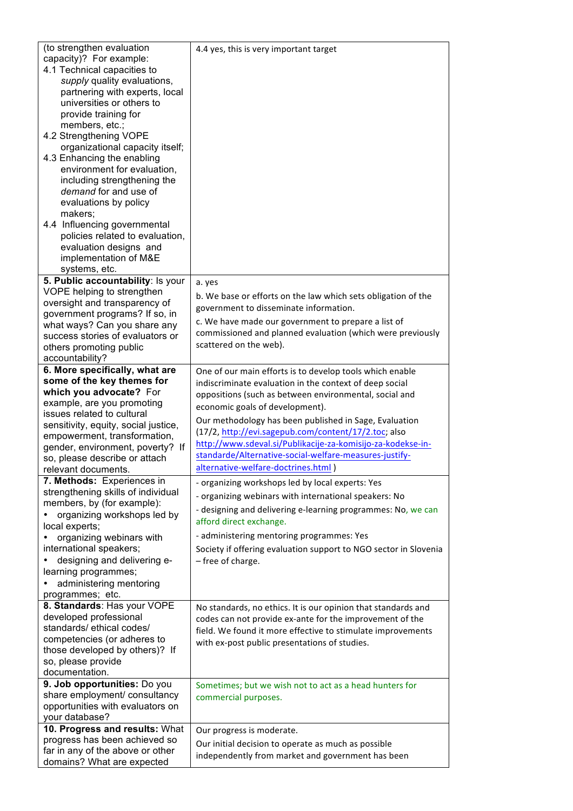| (to strengthen evaluation<br>capacity)? For example:<br>4.1 Technical capacities to<br>supply quality evaluations,<br>partnering with experts, local<br>universities or others to<br>provide training for<br>members, etc.;<br>4.2 Strengthening VOPE<br>organizational capacity itself;<br>4.3 Enhancing the enabling<br>environment for evaluation,<br>including strengthening the<br>demand for and use of | 4.4 yes, this is very important target                                                                   |
|---------------------------------------------------------------------------------------------------------------------------------------------------------------------------------------------------------------------------------------------------------------------------------------------------------------------------------------------------------------------------------------------------------------|----------------------------------------------------------------------------------------------------------|
| evaluations by policy<br>makers;<br>4.4 Influencing governmental<br>policies related to evaluation,<br>evaluation designs and<br>implementation of M&E<br>systems, etc.                                                                                                                                                                                                                                       |                                                                                                          |
| 5. Public accountability: Is your                                                                                                                                                                                                                                                                                                                                                                             | a. yes                                                                                                   |
| VOPE helping to strengthen                                                                                                                                                                                                                                                                                                                                                                                    | b. We base or efforts on the law which sets obligation of the                                            |
| oversight and transparency of<br>government programs? If so, in                                                                                                                                                                                                                                                                                                                                               | government to disseminate information.                                                                   |
| what ways? Can you share any                                                                                                                                                                                                                                                                                                                                                                                  | c. We have made our government to prepare a list of                                                      |
| success stories of evaluators or                                                                                                                                                                                                                                                                                                                                                                              | commissioned and planned evaluation (which were previously                                               |
| others promoting public                                                                                                                                                                                                                                                                                                                                                                                       | scattered on the web).                                                                                   |
| accountability?                                                                                                                                                                                                                                                                                                                                                                                               |                                                                                                          |
| 6. More specifically, what are                                                                                                                                                                                                                                                                                                                                                                                | One of our main efforts is to develop tools which enable                                                 |
| some of the key themes for<br>which you advocate? For                                                                                                                                                                                                                                                                                                                                                         | indiscriminate evaluation in the context of deep social                                                  |
| example, are you promoting                                                                                                                                                                                                                                                                                                                                                                                    | oppositions (such as between environmental, social and                                                   |
|                                                                                                                                                                                                                                                                                                                                                                                                               | economic goals of development).                                                                          |
|                                                                                                                                                                                                                                                                                                                                                                                                               |                                                                                                          |
| issues related to cultural<br>sensitivity, equity, social justice,                                                                                                                                                                                                                                                                                                                                            | Our methodology has been published in Sage, Evaluation                                                   |
| empowerment, transformation,                                                                                                                                                                                                                                                                                                                                                                                  | (17/2, http://evi.sagepub.com/content/17/2.toc; also                                                     |
| gender, environment, poverty? If                                                                                                                                                                                                                                                                                                                                                                              | http://www.sdeval.si/Publikacije-za-komisijo-za-kodekse-in-                                              |
| so, please describe or attach                                                                                                                                                                                                                                                                                                                                                                                 | standarde/Alternative-social-welfare-measures-justify-                                                   |
| relevant documents.                                                                                                                                                                                                                                                                                                                                                                                           | alternative-welfare-doctrines.html)                                                                      |
| 7. Methods: Experiences in                                                                                                                                                                                                                                                                                                                                                                                    | - organizing workshops led by local experts: Yes                                                         |
| strengthening skills of individual                                                                                                                                                                                                                                                                                                                                                                            | - organizing webinars with international speakers: No                                                    |
| members, by (for example):                                                                                                                                                                                                                                                                                                                                                                                    | - designing and delivering e-learning programmes: No, we can                                             |
| organizing workshops led by                                                                                                                                                                                                                                                                                                                                                                                   | afford direct exchange.                                                                                  |
| local experts;<br>organizing webinars with                                                                                                                                                                                                                                                                                                                                                                    | - administering mentoring programmes: Yes                                                                |
| international speakers;                                                                                                                                                                                                                                                                                                                                                                                       | Society if offering evaluation support to NGO sector in Slovenia                                         |
| designing and delivering e-                                                                                                                                                                                                                                                                                                                                                                                   | - free of charge.                                                                                        |
| learning programmes;                                                                                                                                                                                                                                                                                                                                                                                          |                                                                                                          |
| administering mentoring                                                                                                                                                                                                                                                                                                                                                                                       |                                                                                                          |
| programmes; etc.                                                                                                                                                                                                                                                                                                                                                                                              |                                                                                                          |
| 8. Standards: Has your VOPE                                                                                                                                                                                                                                                                                                                                                                                   | No standards, no ethics. It is our opinion that standards and                                            |
| developed professional                                                                                                                                                                                                                                                                                                                                                                                        | codes can not provide ex-ante for the improvement of the                                                 |
| standards/ ethical codes/                                                                                                                                                                                                                                                                                                                                                                                     | field. We found it more effective to stimulate improvements                                              |
| competencies (or adheres to<br>those developed by others)? If                                                                                                                                                                                                                                                                                                                                                 | with ex-post public presentations of studies.                                                            |
| so, please provide                                                                                                                                                                                                                                                                                                                                                                                            |                                                                                                          |
| documentation.                                                                                                                                                                                                                                                                                                                                                                                                |                                                                                                          |
| 9. Job opportunities: Do you                                                                                                                                                                                                                                                                                                                                                                                  | Sometimes; but we wish not to act as a head hunters for                                                  |
| share employment/ consultancy                                                                                                                                                                                                                                                                                                                                                                                 | commercial purposes.                                                                                     |
| opportunities with evaluators on                                                                                                                                                                                                                                                                                                                                                                              |                                                                                                          |
| your database?                                                                                                                                                                                                                                                                                                                                                                                                |                                                                                                          |
| 10. Progress and results: What                                                                                                                                                                                                                                                                                                                                                                                | Our progress is moderate.                                                                                |
| progress has been achieved so<br>far in any of the above or other                                                                                                                                                                                                                                                                                                                                             | Our initial decision to operate as much as possible<br>independently from market and government has been |